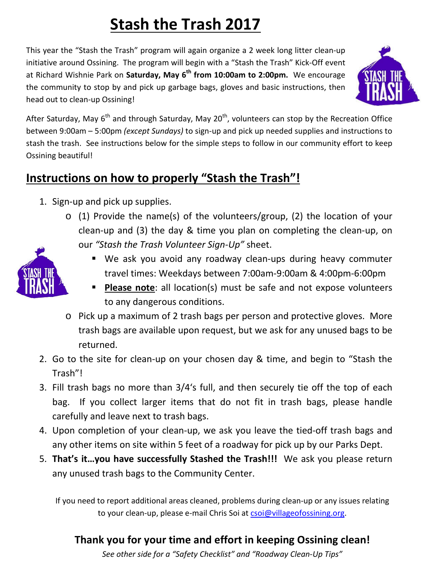# **Stash the Trash 2017**

This year the "Stash the Trash" program will again organize a 2 week long litter clean-up initiative around Ossining. The program will begin with a "Stash the Trash" Kick-Off event at Richard Wishnie Park on **Saturday, May 6th from 10:00am to 2:00pm.** We encourage the community to stop by and pick up garbage bags, gloves and basic instructions, then head out to clean-up Ossining!



After Saturday, May  $6<sup>th</sup>$  and through Saturday, May 20<sup>th</sup>, volunteers can stop by the Recreation Office between 9:00am – 5:00pm *(except Sundays)* to sign-up and pick up needed supplies and instructions to stash the trash. See instructions below for the simple steps to follow in our community effort to keep Ossining beautiful!

## **Instructions on how to properly "Stash the Trash"!**

- 1. Sign-up and pick up supplies.
	- o (1) Provide the name(s) of the volunteers/group, (2) the location of your clean-up and (3) the day & time you plan on completing the clean-up, on our *"Stash the Trash Volunteer Sign-Up"* sheet.



- We ask you avoid any roadway clean-ups during heavy commuter travel times: Weekdays between 7:00am-9:00am & 4:00pm-6:00pm
- **Please note:** all location(s) must be safe and not expose volunteers to any dangerous conditions.
- o Pick up a maximum of 2 trash bags per person and protective gloves. More trash bags are available upon request, but we ask for any unused bags to be returned.
- 2. Go to the site for clean-up on your chosen day & time, and begin to "Stash the Trash"!
- 3. Fill trash bags no more than 3/4's full, and then securely tie off the top of each bag. If you collect larger items that do not fit in trash bags, please handle carefully and leave next to trash bags.
- 4. Upon completion of your clean-up, we ask you leave the tied-off trash bags and any other items on site within 5 feet of a roadway for pick up by our Parks Dept.
- 5. **That's it…you have successfully Stashed the Trash!!!** We ask you please return any unused trash bags to the Community Center.

If you need to report additional areas cleaned, problems during clean-up or any issues relating to your clean-up, please e-mail Chris Soi at [csoi@villageofossining.org.](mailto:csoi@villageofossining.org)

#### **Thank you for your time and effort in keeping Ossining clean!**

*See other side for a "Safety Checklist" and "Roadway Clean-Up Tips"*